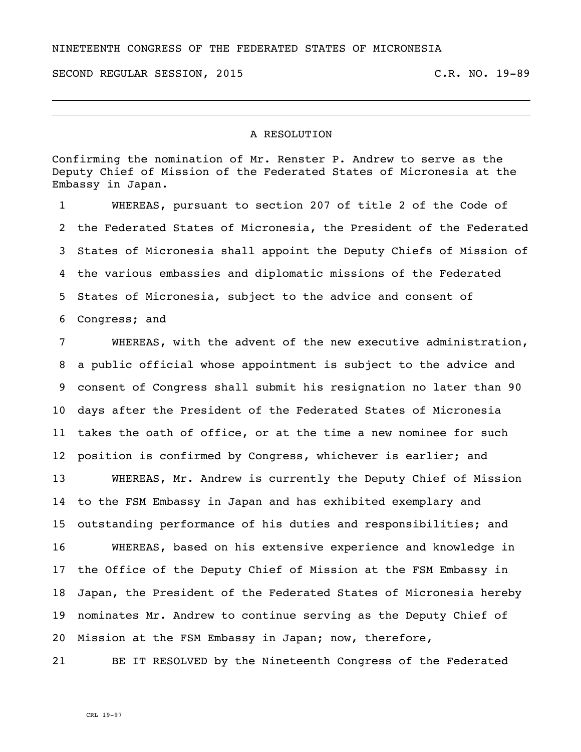NINETEENTH CONGRESS OF THE FEDERATED STATES OF MICRONESIA

SECOND REGULAR SESSION, 2015 C.R. NO. 19-89

## A RESOLUTION

Confirming the nomination of Mr. Renster P. Andrew to serve as the Deputy Chief of Mission of the Federated States of Micronesia at the Embassy in Japan.

 WHEREAS, pursuant to section 207 of title 2 of the Code of the Federated States of Micronesia, the President of the Federated States of Micronesia shall appoint the Deputy Chiefs of Mission of the various embassies and diplomatic missions of the Federated States of Micronesia, subject to the advice and consent of Congress; and

 WHEREAS, with the advent of the new executive administration, a public official whose appointment is subject to the advice and consent of Congress shall submit his resignation no later than 90 days after the President of the Federated States of Micronesia takes the oath of office, or at the time a new nominee for such position is confirmed by Congress, whichever is earlier; and

 WHEREAS, Mr. Andrew is currently the Deputy Chief of Mission to the FSM Embassy in Japan and has exhibited exemplary and outstanding performance of his duties and responsibilities; and WHEREAS, based on his extensive experience and knowledge in the Office of the Deputy Chief of Mission at the FSM Embassy in Japan, the President of the Federated States of Micronesia hereby nominates Mr. Andrew to continue serving as the Deputy Chief of Mission at the FSM Embassy in Japan; now, therefore,

BE IT RESOLVED by the Nineteenth Congress of the Federated